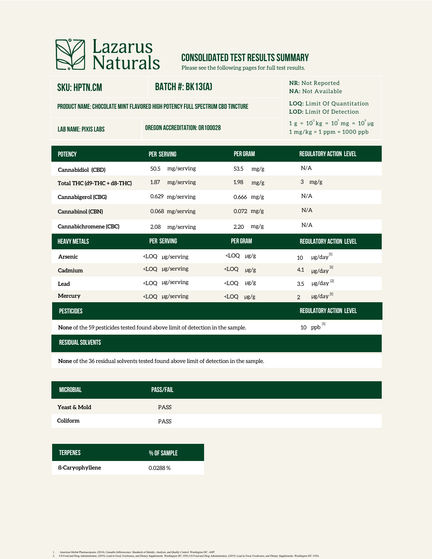

# **CONSOLIDATED TEST RESULTS SUMMARY**

Please see the following pages for full test results.

## **sku: HPTN.CM**

#### **BATCH #: BK13(A)**

**NR:** Not Reported

**product name:Chocolate Mint Flavored High Potency Full Spectrum CBD Tincture**

**lab name: Pixis Labs Oregon Accreditation: OR100028**

|  | <b>NA:</b> Not Available |  |  |  |  |  |
|--|--------------------------|--|--|--|--|--|
|  |                          |  |  |  |  |  |

**LOQ:** Limit Of Quantitation **LOD:** Limit Of Detection

 $1 g = 10^3 kg = 10^3 mg = 10^6 \mu g$ 1 mg/kg = 1 ppm = 1000 ppb

| <b>POTENCY</b>              | PER SERVING                                                                                                                                            | <b>PER GRAM</b>        | <b>REGULATORY ACTION LEVEL</b>         |
|-----------------------------|--------------------------------------------------------------------------------------------------------------------------------------------------------|------------------------|----------------------------------------|
| Cannabidiol (CBD)           | mg/serving<br>50.5                                                                                                                                     | 53.5<br>mg/g           | N/A                                    |
| Total THC (d9-THC + d8-THC) | mg/serving<br>1.87                                                                                                                                     | 1.98<br>mg/g           | 3 $mg/g$                               |
| Cannabigerol (CBG)          | 0.629 mg/serving                                                                                                                                       | $0.666$ mg/g           | N/A                                    |
| Cannabinol (CBN)            | 0.068 mg/serving                                                                                                                                       | $0.072$ mg/g           | N/A                                    |
| Cannabichromene (CBC)       | mg/serving<br>2.08                                                                                                                                     | $2.20$ mg/g            | N/A                                    |
| <b>HEAVY METALS</b>         | <b>PER SERVING</b>                                                                                                                                     | PER GRAM               | <b>REGULATORY ACTION LEVEL</b>         |
| Arsenic                     | $\angle$ LOQ µg/serving                                                                                                                                | $\angle$ LOQ µg/g      | $\mu$ g/day $^{[1]}$<br>10             |
| Cadmium                     | <loq serving<="" td="" µg=""><td><math>\angle</math>LOQ <math>\mu</math>g/g</td><td><math>\mu</math>g/day<math>^{[1]}</math><br/>4.1</td></loq>        | $\angle$ LOQ $\mu$ g/g | $\mu$ g/day $^{[1]}$<br>4.1            |
| Lead                        | <loq serving<="" td="" µg=""><td><math>KCOQ</math> <math>\mu</math>g/g</td><td><math>\mu</math>g/day<math>^{[2]}</math><br/>3.5</td></loq>             | $KCOQ$ $\mu$ g/g       | $\mu$ g/day $^{[2]}$<br>3.5            |
| Mercury                     | <loq serving<="" td="" µg=""><td><math>\angle</math>LOQ µg/g</td><td><math>\mu</math>g/day<math>^{[1]}</math><br/><math>\overline{2}</math></td></loq> | $\angle$ LOQ µg/g      | $\mu$ g/day $^{[1]}$<br>$\overline{2}$ |
|                             |                                                                                                                                                        |                        |                                        |
| <b>PESTICIDES</b>           |                                                                                                                                                        |                        | <b>REGULATORY ACTION LEVEL</b>         |

**None** of the 59 pesticides tested found above limit of detection in the sample.

#### **residual solvents**

**None** of the 36 residual solvents tested found above limit of detection in the sample.

| <b>MICROBIAL</b> | <b>PASS/FAIL</b> |
|------------------|------------------|
| Yeast & Mold     | <b>PASS</b>      |
| Coliform         | PASS             |
|                  |                  |

| <b>TERPENES</b>        | .% OF SAMPLE |
|------------------------|--------------|
| <b>ß-Caryophyllene</b> | 0.0288%      |

1. American Herbal Pharmacopoeia. (2014). Cananki Inflorescaree: Standards of Identity. Analysia, and yeality. Contol. Washington DC: AHP.<br>2. US Food and Drug Administration, (2019). Lead in Food, Food, Face, Washington DC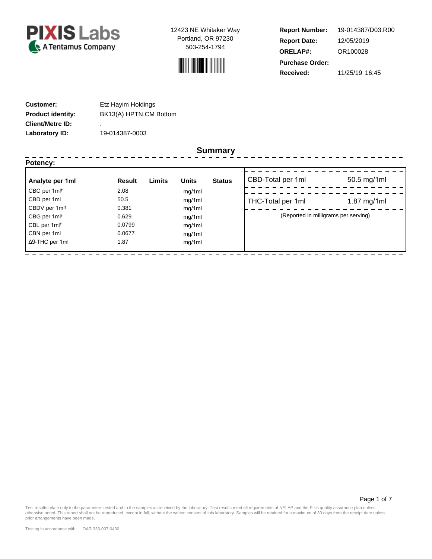



**Report Number: Report Date: ORELAP#:** 12/05/2019 OR100028 **Received:** 11/25/19 16:45 **Purchase Order:** 19-014387/D03.R00

| <b>Customer:</b>         | Etz Hayim Holdings     |
|--------------------------|------------------------|
| <b>Product identity:</b> | BK13(A) HPTN.CM Bottom |
| <b>Client/Metrc ID:</b>  | ٠                      |
| Laboratory ID:           | 19-014387-0003         |

#### **Summary**

| Potency:                  |        |                        | Summary       |                                      |               |
|---------------------------|--------|------------------------|---------------|--------------------------------------|---------------|
| Analyte per 1ml           | Result | <b>Units</b><br>Limits | <b>Status</b> | CBD-Total per 1ml                    | 50.5 mg/1ml   |
| CBC per 1ml <sup>t</sup>  | 2.08   | mg/1ml                 |               |                                      |               |
| CBD per 1ml               | 50.5   | mg/1ml                 |               | THC-Total per 1ml                    | $1.87$ mg/1ml |
| CBDV per 1ml <sup>t</sup> | 0.381  | mg/1ml                 |               |                                      |               |
| CBG per 1ml <sup>t</sup>  | 0.629  | mg/1ml                 |               | (Reported in milligrams per serving) |               |
| CBL per 1ml <sup>t</sup>  | 0.0799 | mg/1ml                 |               |                                      |               |
| CBN per 1ml               | 0.0677 | mg/1ml                 |               |                                      |               |
| $\Delta$ 9-THC per 1ml    | 1.87   | mg/1ml                 |               |                                      |               |

Page 1 of 7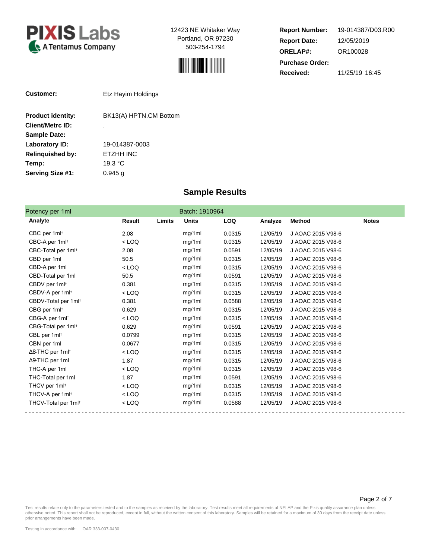



**Report Number: Report Date: ORELAP#:** 12/05/2019 OR100028 **Received:** 11/25/19 16:45 **Purchase Order:** 19-014387/D03.R00

| <b>Customer:</b>         | Etz Hayim Holdings     |
|--------------------------|------------------------|
| <b>Product identity:</b> | BK13(A) HPTN.CM Bottom |
| <b>Client/Metrc ID:</b>  | ٠                      |
| <b>Sample Date:</b>      |                        |
| Laboratory ID:           | 19-014387-0003         |
| <b>Relinguished by:</b>  | ETZHH INC              |
| Temp:                    | 19.3 °C                |
| Serving Size #1:         | 0.945 a                |

### **Sample Results**

| Potency per 1ml                     |         |        | Batch: 1910964 |            |          |                   |              |
|-------------------------------------|---------|--------|----------------|------------|----------|-------------------|--------------|
| Analyte                             | Result  | Limits | <b>Units</b>   | <b>LOQ</b> | Analyze  | <b>Method</b>     | <b>Notes</b> |
| CBC per 1ml <sup>+</sup>            | 2.08    |        | mg/1ml         | 0.0315     | 12/05/19 | J AOAC 2015 V98-6 |              |
| CBC-A per 1ml <sup>+</sup>          | $<$ LOQ |        | mg/1ml         | 0.0315     | 12/05/19 | J AOAC 2015 V98-6 |              |
| CBC-Total per 1ml <sup>+</sup>      | 2.08    |        | mg/1ml         | 0.0591     | 12/05/19 | J AOAC 2015 V98-6 |              |
| CBD per 1ml                         | 50.5    |        | mg/1ml         | 0.0315     | 12/05/19 | J AOAC 2015 V98-6 |              |
| CBD-A per 1ml                       | $<$ LOQ |        | mg/1ml         | 0.0315     | 12/05/19 | J AOAC 2015 V98-6 |              |
| CBD-Total per 1ml                   | 50.5    |        | mg/1ml         | 0.0591     | 12/05/19 | J AOAC 2015 V98-6 |              |
| CBDV per 1ml <sup>+</sup>           | 0.381   |        | mg/1ml         | 0.0315     | 12/05/19 | J AOAC 2015 V98-6 |              |
| CBDV-A per 1ml <sup>+</sup>         | $<$ LOQ |        | mg/1ml         | 0.0315     | 12/05/19 | J AOAC 2015 V98-6 |              |
| CBDV-Total per 1ml <sup>+</sup>     | 0.381   |        | mg/1ml         | 0.0588     | 12/05/19 | J AOAC 2015 V98-6 |              |
| CBG per 1ml <sup>+</sup>            | 0.629   |        | mg/1ml         | 0.0315     | 12/05/19 | J AOAC 2015 V98-6 |              |
| CBG-A per 1ml <sup>+</sup>          | $<$ LOQ |        | mg/1ml         | 0.0315     | 12/05/19 | J AOAC 2015 V98-6 |              |
| CBG-Total per 1ml <sup>+</sup>      | 0.629   |        | mg/1ml         | 0.0591     | 12/05/19 | J AOAC 2015 V98-6 |              |
| CBL per 1ml <sup>+</sup>            | 0.0799  |        | mg/1ml         | 0.0315     | 12/05/19 | J AOAC 2015 V98-6 |              |
| CBN per 1ml                         | 0.0677  |        | mg/1ml         | 0.0315     | 12/05/19 | J AOAC 2015 V98-6 |              |
| $\Delta$ 8-THC per 1ml <sup>+</sup> | $<$ LOQ |        | mg/1ml         | 0.0315     | 12/05/19 | J AOAC 2015 V98-6 |              |
| $\Delta$ 9-THC per 1ml              | 1.87    |        | mg/1ml         | 0.0315     | 12/05/19 | J AOAC 2015 V98-6 |              |
| THC-A per 1ml                       | $<$ LOQ |        | mg/1ml         | 0.0315     | 12/05/19 | J AOAC 2015 V98-6 |              |
| THC-Total per 1ml                   | 1.87    |        | mg/1ml         | 0.0591     | 12/05/19 | J AOAC 2015 V98-6 |              |
| THCV per 1ml <sup>+</sup>           | $<$ LOQ |        | mg/1ml         | 0.0315     | 12/05/19 | J AOAC 2015 V98-6 |              |
| THCV-A per 1ml <sup>+</sup>         | $<$ LOQ |        | mg/1ml         | 0.0315     | 12/05/19 | J AOAC 2015 V98-6 |              |
| THCV-Total per 1ml <sup>+</sup>     | $<$ LOQ |        | mg/1ml         | 0.0588     | 12/05/19 | J AOAC 2015 V98-6 |              |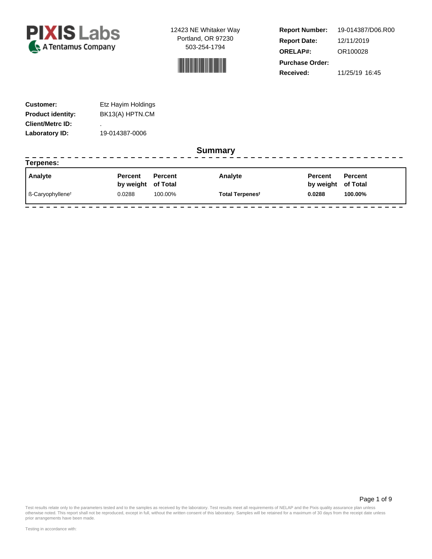



**Report Number: Report Date: ORELAP#:** 12/11/2019 OR100028 **Received:** 11/25/19 16:45 **Purchase Order:** 19-014387/D06.R00

--------------------

| <b>Customer:</b>         | Etz Hayim Holdings |
|--------------------------|--------------------|
| <b>Product identity:</b> | BK13(A) HPTN.CM    |
| <b>Client/Metrc ID:</b>  | ٠                  |
| Laboratory ID:           | 19-014387-0006     |

#### **Summary**

| Terpenes:                                   |                    |                |                             |                    |                |  |
|---------------------------------------------|--------------------|----------------|-----------------------------|--------------------|----------------|--|
| <b>Analyte</b>                              | <b>Percent</b>     | <b>Percent</b> | Analyte                     | Percent            | <b>Percent</b> |  |
|                                             | by weight of Total |                |                             | by weight of Total |                |  |
| $\blacksquare$ ß-Caryophyllene <sup>†</sup> | 0.0288             | 100.00%        | Total Terpenes <sup>†</sup> | 0.0288             | 100.00%        |  |

Page 1 of 9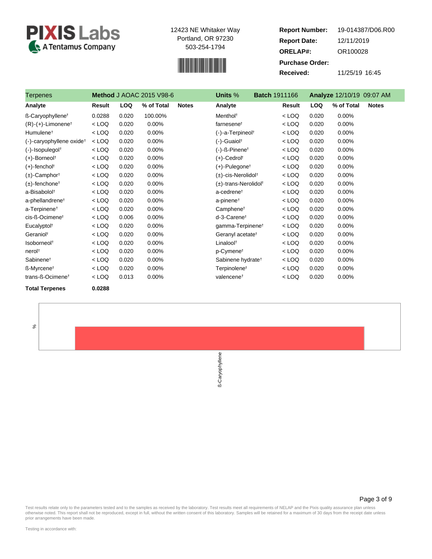



**Report Number: Report Date: ORELAP#:** 12/11/2019 OR100028 **Received:** 11/25/19 16:45 **Purchase Order:** 19-014387/D06.R00

| Terpenes                             |         |            | <b>Method J AOAC 2015 V98-6</b> |              | Units %                          | <b>Batch 1911166</b> |            | Analyze 12/10/19 09:07 AM  |
|--------------------------------------|---------|------------|---------------------------------|--------------|----------------------------------|----------------------|------------|----------------------------|
| Analyte                              | Result  | <b>LOQ</b> | % of Total                      | <b>Notes</b> | Analyte                          | Result               | <b>LOQ</b> | % of Total<br><b>Notes</b> |
| ß-Caryophyllene <sup>t</sup>         | 0.0288  | 0.020      | 100.00%                         |              | Menthol <sup>t</sup>             | $<$ LOQ              | 0.020      | 0.00%                      |
| $(R)-(+)$ -Limonene <sup>†</sup>     | $<$ LOQ | 0.020      | 0.00%                           |              | farnesenet                       | $<$ LOQ              | 0.020      | $0.00\%$                   |
| Humulene <sup>t</sup>                | $<$ LOQ | 0.020      | 0.00%                           |              | (-)-a-Terpineol <sup>+</sup>     | $<$ LOQ              | 0.020      | 0.00%                      |
| (-)-caryophyllene oxide <sup>+</sup> | $<$ LOQ | 0.020      | 0.00%                           |              | $(-)$ -Guaiol <sup>†</sup>       | $<$ LOQ              | 0.020      | 0.00%                      |
| $(-)$ -Isopulegol <sup>†</sup>       | $<$ LOQ | 0.020      | 0.00%                           |              | (-)-ß-Pinene <sup>†</sup>        | $<$ LOQ              | 0.020      | 0.00%                      |
| $(+)$ -Borneol <sup>†</sup>          | $<$ LOQ | 0.020      | 0.00%                           |              | $(+)$ -Cedrol <sup>†</sup>       | $<$ LOQ              | 0.020      | 0.00%                      |
| $(+)$ -fencholt                      | $<$ LOQ | 0.020      | 0.00%                           |              | $(+)$ -Pulegone <sup>†</sup>     | $<$ LOQ              | 0.020      | 0.00%                      |
| $(\pm)$ -Camphor <sup>†</sup>        | $<$ LOQ | 0.020      | 0.00%                           |              | (±)-cis-Nerolidol <sup>†</sup>   | $<$ LOQ              | 0.020      | 0.00%                      |
| $(\pm)$ -fenchone <sup>†</sup>       | $<$ LOQ | 0.020      | 0.00%                           |              | (±)-trans-Nerolidol <sup>†</sup> | $<$ LOQ              | 0.020      | 0.00%                      |
| a-Bisabolol <sup>+</sup>             | $<$ LOQ | 0.020      | 0.00%                           |              | a-cedrene <sup>t</sup>           | $<$ LOQ              | 0.020      | $0.00\%$                   |
| a-phellandrene <sup>t</sup>          | $<$ LOQ | 0.020      | 0.00%                           |              | a-pinene <sup>†</sup>            | $<$ LOQ              | 0.020      | 0.00%                      |
| a-Terpinene <sup>+</sup>             | $<$ LOQ | 0.020      | 0.00%                           |              | Camphene <sup>t</sup>            | $<$ LOQ              | 0.020      | 0.00%                      |
| cis-ß-Ocimene <sup>t</sup>           | $<$ LOQ | 0.006      | 0.00%                           |              | d-3-Carenet                      | $<$ LOQ              | 0.020      | 0.00%                      |
| Eucalyptol <sup>t</sup>              | $<$ LOQ | 0.020      | 0.00%                           |              | gamma-Terpinene <sup>t</sup>     | $<$ LOQ              | 0.020      | 0.00%                      |
| Geraniol <sup>t</sup>                | $<$ LOQ | 0.020      | 0.00%                           |              | Geranyl acetate <sup>t</sup>     | $<$ LOQ              | 0.020      | 0.00%                      |
| Isoborneol <sup>t</sup>              | $<$ LOQ | 0.020      | 0.00%                           |              | Linalool <sup>t</sup>            | $<$ LOQ              | 0.020      | 0.00%                      |
| nerol <sup>+</sup>                   | $<$ LOQ | 0.020      | 0.00%                           |              | p-Cymene <sup>t</sup>            | $<$ LOQ              | 0.020      | 0.00%                      |
| Sabinene <sup>t</sup>                | $<$ LOQ | 0.020      | 0.00%                           |              | Sabinene hydrate <sup>t</sup>    | $<$ LOQ              | 0.020      | 0.00%                      |
| ß-Myrcene <sup>↑</sup>               | $<$ LOQ | 0.020      | 0.00%                           |              | Terpinolene <sup>t</sup>         | $<$ LOQ              | 0.020      | 0.00%                      |
| trans-ß-Ocimene <sup>t</sup>         | $<$ LOQ | 0.013      | 0.00%                           |              | valencene <sup>+</sup>           | $<$ LOQ              | 0.020      | 0.00%                      |
|                                      |         |            |                                 |              |                                  |                      |            |                            |

**Total Terpenes 0.0288**

%

ß-Caryophyllene

Page 3 of 9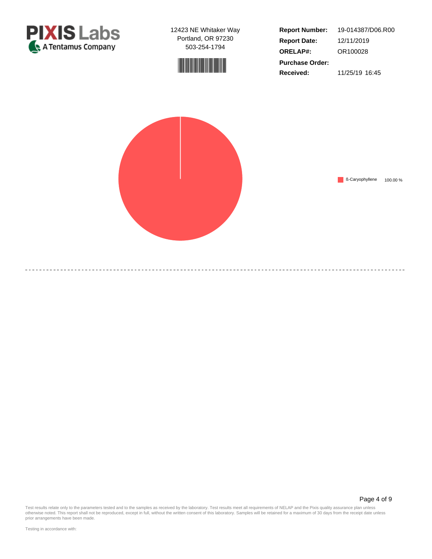



**Report Number: Report Date: ORELAP#:** 12/11/2019 OR100028 **Received:** 11/25/19 16:45 **Purchase Order:** 19-014387/D06.R00



Page 4 of 9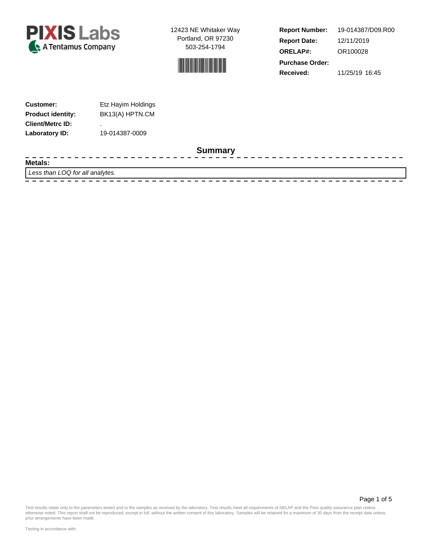



**Report Number: Report Date: ORELAP#:** 12/11/2019 OR100028 **Received:** 11/25/19 16:45 **Purchase Order:** 19-014387/D09.R00

--------------

| <b>Customer:</b>         | Etz Hayim Holdings |
|--------------------------|--------------------|
| <b>Product identity:</b> | BK13(A) HPTN.CM    |
| <b>Client/Metrc ID:</b>  | ٠                  |
| Laboratory ID:           | 19-014387-0009     |

#### **Summary**

**Metals:**

- - - -

Less than LOQ for all analytes.

 $- - - - - - -$ 

Test results relate only to the parameters tested and to the samples as received by the laboratory. Test results meet all requirements of NELAP and the Pixis quality assurance plan unless<br>otherwise noted. This report shall

Page 1 of 5

prior arrangements have been made.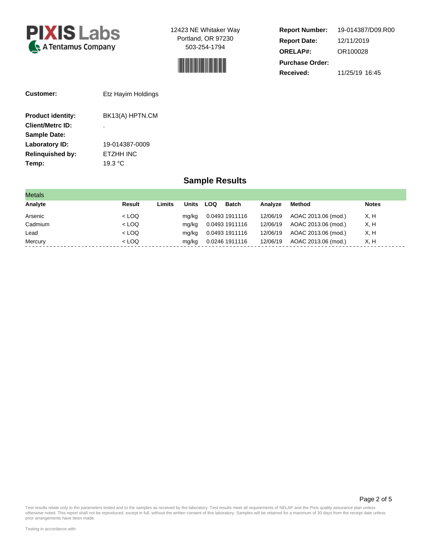



**Report Number: Report Date: ORELAP#:** 12/11/2019 OR100028 **Received:** 11/25/19 16:45 **Purchase Order:** 19-014387/D09.R00

| Customer:                | Etz Hayim Holdings |  |  |  |  |  |
|--------------------------|--------------------|--|--|--|--|--|
| <b>Product identity:</b> | BK13(A) HPTN.CM    |  |  |  |  |  |
| <b>Client/Metrc ID:</b>  | ٠                  |  |  |  |  |  |
| <b>Sample Date:</b>      |                    |  |  |  |  |  |
| Laboratory ID:           | 19-014387-0009     |  |  |  |  |  |
| <b>Relinquished by:</b>  | <b>FTZHH INC</b>   |  |  |  |  |  |
| Temp:                    | 19.3 °C            |  |  |  |  |  |

### **Sample Results**

| <b>Metals</b> |         |        |       |            |                |          |                     |              |
|---------------|---------|--------|-------|------------|----------------|----------|---------------------|--------------|
| Analyte       | Result  | Limits | Units | <b>LOQ</b> | <b>Batch</b>   | Analyze  | <b>Method</b>       | <b>Notes</b> |
| Arsenic       | $<$ LOQ |        | mg/kg |            | 0.0493 1911116 | 12/06/19 | AOAC 2013.06 (mod.) | X, H         |
| Cadmium       | $<$ LOQ |        | mg/kg |            | 0.0493 1911116 | 12/06/19 | AOAC 2013.06 (mod.) | X, H         |
| Lead          | $<$ LOQ |        | mg/kg |            | 0.0493 1911116 | 12/06/19 | AOAC 2013.06 (mod.) | X, H         |
| Mercury       | $<$ LOQ |        | mg/kg |            | 0.0246 1911116 | 12/06/19 | AOAC 2013.06 (mod.) | X, H         |

Page 2 of 5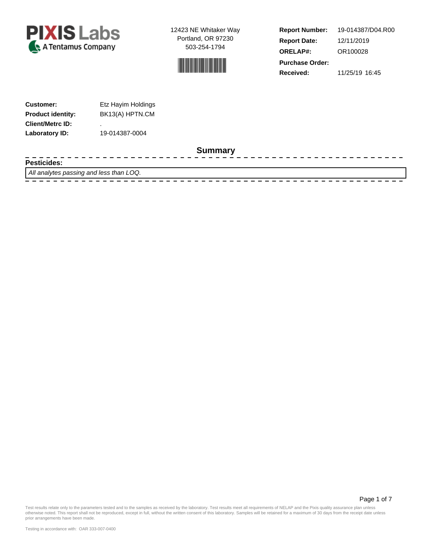



**Report Number: Report Date: ORELAP#:** 12/11/2019 OR100028 **Received:** 11/25/19 16:45 **Purchase Order:** 19-014387/D04.R00

---------------

| <b>Customer:</b>         | Etz Hayim Holdings |  |  |  |  |
|--------------------------|--------------------|--|--|--|--|
| <b>Product identity:</b> | BK13(A) HPTN.CM    |  |  |  |  |
| <b>Client/Metrc ID:</b>  | ٠                  |  |  |  |  |
| Laboratory ID:           | 19-014387-0004     |  |  |  |  |

#### **Summary**

**Pesticides:**

 $\frac{1}{2}$ 

All analytes passing and less than LOQ.

 $- - - - - -$ 

Page 1 of 7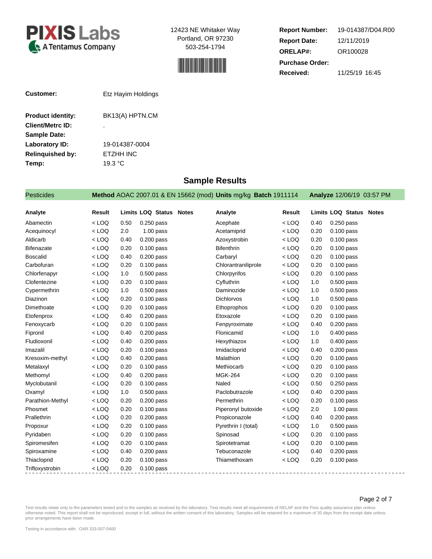



**Report Number: Report Date: ORELAP#:** 12/11/2019 OR100028 **Received:** 11/25/19 16:45 **Purchase Order:** 19-014387/D04.R00

| Customer:                | Etz Hayim Holdings |
|--------------------------|--------------------|
| <b>Product identity:</b> | BK13(A) HPTN.CM    |
| <b>Client/Metrc ID:</b>  | ٠                  |
| <b>Sample Date:</b>      |                    |
| Laboratory ID:           | 19-014387-0004     |
| <b>Relinquished by:</b>  | <b>ETZHH INC</b>   |

**Temp:** 19.3 °C

### **Sample Results**

| <b>Pesticides</b> |         |      |                                | Method AOAC 2007.01 & EN 15662 (mod) Units mg/kg Batch 1911114 |               |      | Analyze 12/06/19 03:57 PM |
|-------------------|---------|------|--------------------------------|----------------------------------------------------------------|---------------|------|---------------------------|
| Analyte           | Result  |      | <b>Limits LOQ Status Notes</b> | Analyte                                                        | <b>Result</b> |      | Limits LOQ Status Notes   |
| Abamectin         | $<$ LOQ | 0.50 | $0.250$ pass                   | Acephate                                                       | $<$ LOQ       | 0.40 | $0.250$ pass              |
| Acequinocyl       | $<$ LOQ | 2.0  | $1.00$ pass                    | Acetamiprid                                                    | $<$ LOQ       | 0.20 | $0.100$ pass              |
| Aldicarb          | $<$ LOQ | 0.40 | 0.200 pass                     | Azoxystrobin                                                   | $<$ LOQ       | 0.20 | $0.100$ pass              |
| <b>Bifenazate</b> | $<$ LOQ | 0.20 | $0.100$ pass                   | <b>Bifenthrin</b>                                              | $<$ LOQ       | 0.20 | 0.100 pass                |
| <b>Boscalid</b>   | $<$ LOQ | 0.40 | $0.200$ pass                   | Carbaryl                                                       | $<$ LOQ       | 0.20 | $0.100$ pass              |
| Carbofuran        | $<$ LOQ | 0.20 | $0.100$ pass                   | Chlorantraniliprole                                            | $<$ LOQ       | 0.20 | $0.100$ pass              |
| Chlorfenapyr      | $<$ LOQ | 1.0  | $0.500$ pass                   | Chlorpyrifos                                                   | $<$ LOQ       | 0.20 | $0.100$ pass              |
| Clofentezine      | $<$ LOQ | 0.20 | $0.100$ pass                   | Cyfluthrin                                                     | $<$ LOQ       | 1.0  | 0.500 pass                |
| Cypermethrin      | $<$ LOQ | 1.0  | $0.500$ pass                   | Daminozide                                                     | $<$ LOQ       | 1.0  | $0.500$ pass              |
| Diazinon          | $<$ LOQ | 0.20 | $0.100$ pass                   | <b>Dichlorvos</b>                                              | $<$ LOQ       | 1.0  | 0.500 pass                |
| Dimethoate        | $<$ LOQ | 0.20 | $0.100$ pass                   | Ethoprophos                                                    | $<$ LOQ       | 0.20 | $0.100$ pass              |
| Etofenprox        | $<$ LOQ | 0.40 | $0.200$ pass                   | Etoxazole                                                      | $<$ LOQ       | 0.20 | $0.100$ pass              |
| Fenoxycarb        | $<$ LOQ | 0.20 | $0.100$ pass                   | Fenpyroximate                                                  | $<$ LOQ       | 0.40 | 0.200 pass                |
| Fipronil          | $<$ LOQ | 0.40 | $0.200$ pass                   | Flonicamid                                                     | $<$ LOQ       | 1.0  | $0.400$ pass              |
| Fludioxonil       | $<$ LOQ | 0.40 | $0.200$ pass                   | Hexythiazox                                                    | $<$ LOQ       | 1.0  | $0.400$ pass              |
| Imazalil          | $<$ LOQ | 0.20 | 0.100 pass                     | Imidacloprid                                                   | $<$ LOQ       | 0.40 | $0.200$ pass              |
| Kresoxim-methyl   | $<$ LOQ | 0.40 | $0.200$ pass                   | Malathion                                                      | $<$ LOQ       | 0.20 | $0.100$ pass              |
| Metalaxyl         | $<$ LOQ | 0.20 | $0.100$ pass                   | Methiocarb                                                     | $<$ LOQ       | 0.20 | 0.100 pass                |
| Methomyl          | $<$ LOQ | 0.40 | $0.200$ pass                   | <b>MGK-264</b>                                                 | $<$ LOQ       | 0.20 | $0.100$ pass              |
| Myclobutanil      | $<$ LOQ | 0.20 | $0.100$ pass                   | Naled                                                          | $<$ LOQ       | 0.50 | 0.250 pass                |
| Oxamyl            | $<$ LOQ | 1.0  | $0.500$ pass                   | Paclobutrazole                                                 | $<$ LOQ       | 0.40 | 0.200 pass                |
| Parathion-Methyl  | $<$ LOQ | 0.20 | $0.200$ pass                   | Permethrin                                                     | $<$ LOQ       | 0.20 | $0.100$ pass              |
| Phosmet           | $<$ LOQ | 0.20 | $0.100$ pass                   | Piperonyl butoxide                                             | $<$ LOQ       | 2.0  | $1.00$ pass               |
| Prallethrin       | $<$ LOQ | 0.20 | $0.200$ pass                   | Propiconazole                                                  | $<$ LOQ       | 0.40 | $0.200$ pass              |
| Propoxur          | $<$ LOQ | 0.20 | $0.100$ pass                   | Pyrethrin I (total)                                            | $<$ LOQ       | 1.0  | $0.500$ pass              |
| Pyridaben         | $<$ LOQ | 0.20 | $0.100$ pass                   | Spinosad                                                       | $<$ LOQ       | 0.20 | 0.100 pass                |
| Spiromesifen      | $<$ LOQ | 0.20 | $0.100$ pass                   | Spirotetramat                                                  | $<$ LOQ       | 0.20 | $0.100$ pass              |
| Spiroxamine       | $<$ LOQ | 0.40 | 0.200 pass                     | Tebuconazole                                                   | $<$ LOQ       | 0.40 | $0.200$ pass              |
| Thiacloprid       | $<$ LOQ | 0.20 | $0.100$ pass                   | Thiamethoxam                                                   | $<$ LOQ       | 0.20 | 0.100 pass                |
| Trifloxystrobin   | $<$ LOQ | 0.20 | $0.100$ pass                   |                                                                |               |      |                           |

 $- - -$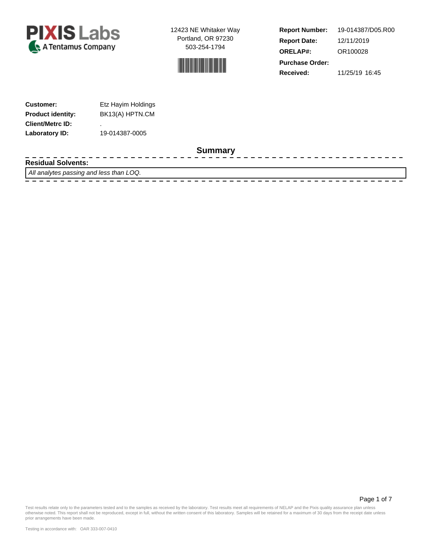



**Report Number: Report Date: ORELAP#:** 12/11/2019 OR100028 **Received:** 11/25/19 16:45 **Purchase Order:** 19-014387/D05.R00

------------------

| <b>Customer:</b>         | Etz Hayim Holdings |
|--------------------------|--------------------|
| <b>Product identity:</b> | BK13(A) HPTN.CM    |
| <b>Client/Metrc ID:</b>  | ٠                  |
| Laboratory ID:           | 19-014387-0005     |

 $\frac{1}{2}$ 

#### **Summary**

**Residual Solvents:**

All analytes passing and less than LOQ.

- - - - -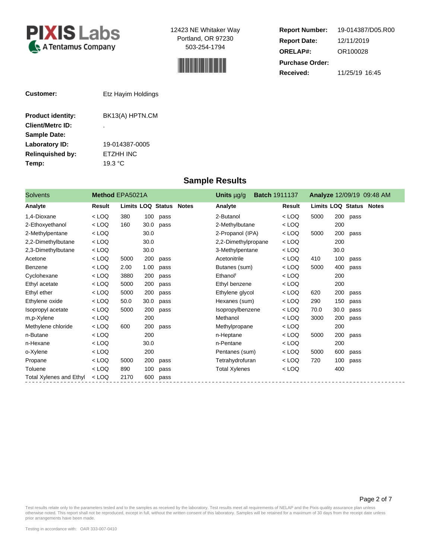



**Report Number: Report Date: ORELAP#:** 12/11/2019 OR100028 **Received:** 11/25/19 16:45 **Purchase Order:** 19-014387/D05.R00

| Customer:                | Etz Hayim Holdings |
|--------------------------|--------------------|
| <b>Product identity:</b> | BK13(A) HPTN.CM    |
| <b>Client/Metrc ID:</b>  | ٠                  |
| <b>Sample Date:</b>      |                    |
| Laboratory ID:           | 19-014387-0005     |
| <b>Relinguished by:</b>  | ETZHH INC          |
| Temp:                    | 19.3 $\degree$ C   |

### **Sample Results**

| <b>Solvents</b>         | Method EPA5021A |                          |      |      | Units µg/g<br><b>Batch 1911137</b> |                      |  | Analyze 12/09/19 09:48 AM |                                |      |      |  |
|-------------------------|-----------------|--------------------------|------|------|------------------------------------|----------------------|--|---------------------------|--------------------------------|------|------|--|
| Analyte                 | Result          | <b>Limits LOQ Status</b> |      |      | <b>Notes</b>                       | Analyte              |  | Result                    | <b>Limits LOQ Status Notes</b> |      |      |  |
| 1,4-Dioxane             | $<$ LOQ         | 380                      | 100  | pass |                                    | 2-Butanol            |  | $<$ LOQ                   | 5000                           | 200  | pass |  |
| 2-Ethoxyethanol         | $<$ LOQ         | 160                      | 30.0 | pass |                                    | 2-Methylbutane       |  | $<$ LOQ                   |                                | 200  |      |  |
| 2-Methylpentane         | $<$ LOQ         |                          | 30.0 |      |                                    | 2-Propanol (IPA)     |  | $<$ LOQ                   | 5000                           | 200  | pass |  |
| 2,2-Dimethylbutane      | $<$ LOQ         |                          | 30.0 |      |                                    | 2,2-Dimethylpropane  |  | $<$ LOQ                   |                                | 200  |      |  |
| 2,3-Dimethylbutane      | $<$ LOQ         |                          | 30.0 |      |                                    | 3-Methylpentane      |  | $<$ LOQ                   |                                | 30.0 |      |  |
| Acetone                 | $<$ LOQ         | 5000                     | 200  | pass |                                    | Acetonitrile         |  | $<$ LOQ                   | 410                            | 100  | pass |  |
| Benzene                 | $<$ LOQ         | 2.00                     | 1.00 | pass |                                    | Butanes (sum)        |  | $<$ LOQ                   | 5000                           | 400  | pass |  |
| Cyclohexane             | $<$ LOQ         | 3880                     | 200  | pass |                                    | Ethanol <sup>†</sup> |  | $<$ LOQ                   |                                | 200  |      |  |
| Ethyl acetate           | $<$ LOQ         | 5000                     | 200  | pass |                                    | Ethyl benzene        |  | $<$ LOQ                   |                                | 200  |      |  |
| Ethyl ether             | $<$ LOQ         | 5000                     | 200  | pass |                                    | Ethylene glycol      |  | $<$ LOQ                   | 620                            | 200  | pass |  |
| Ethylene oxide          | $<$ LOQ         | 50.0                     | 30.0 | pass |                                    | Hexanes (sum)        |  | $<$ LOQ                   | 290                            | 150  | pass |  |
| Isopropyl acetate       | $<$ LOQ         | 5000                     | 200  | pass |                                    | Isopropylbenzene     |  | $<$ LOQ                   | 70.0                           | 30.0 | pass |  |
| m,p-Xylene              | $<$ LOQ         |                          | 200  |      |                                    | Methanol             |  | $<$ LOQ                   | 3000                           | 200  | pass |  |
| Methylene chloride      | $<$ LOQ         | 600                      | 200  | pass |                                    | Methylpropane        |  | $<$ LOQ                   |                                | 200  |      |  |
| n-Butane                | $<$ LOQ         |                          | 200  |      |                                    | n-Heptane            |  | $<$ LOQ                   | 5000                           | 200  | pass |  |
| n-Hexane                | $<$ LOQ         |                          | 30.0 |      |                                    | n-Pentane            |  | $<$ LOQ                   |                                | 200  |      |  |
| o-Xylene                | $<$ LOQ         |                          | 200  |      |                                    | Pentanes (sum)       |  | $<$ LOQ                   | 5000                           | 600  | pass |  |
| Propane                 | $<$ LOQ         | 5000                     | 200  | pass |                                    | Tetrahydrofuran      |  | $<$ LOQ                   | 720                            | 100  | pass |  |
| Toluene                 | $<$ LOQ         | 890                      | 100  | pass |                                    | <b>Total Xylenes</b> |  | $<$ LOQ                   |                                | 400  |      |  |
| Total Xylenes and Ethyl | $<$ LOQ         | 2170                     | 600  | pass |                                    |                      |  |                           |                                |      |      |  |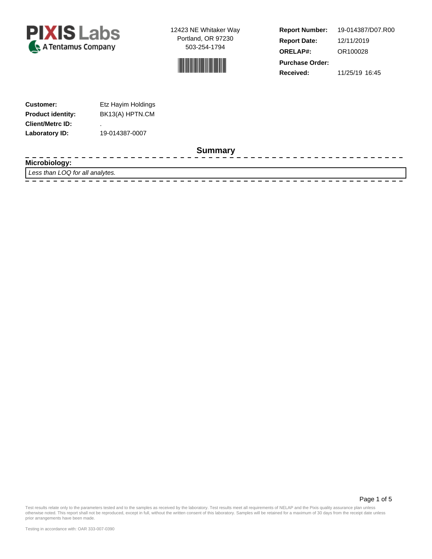



**Report Number: Report Date: ORELAP#:** 12/11/2019 OR100028 **Received:** 11/25/19 16:45 **Purchase Order:** 19-014387/D07.R00

--------------

| <b>Customer:</b>         | Etz Hayim Holdings |
|--------------------------|--------------------|
| <b>Product identity:</b> | BK13(A) HPTN.CM    |
| <b>Client/Metrc ID:</b>  | ٠                  |
| Laboratory ID:           | 19-014387-0007     |

 $\frac{1}{2} \frac{1}{2} \frac{1}{2} \frac{1}{2} \frac{1}{2} \frac{1}{2} \frac{1}{2} \frac{1}{2} \frac{1}{2} \frac{1}{2} \frac{1}{2} \frac{1}{2} \frac{1}{2} \frac{1}{2} \frac{1}{2} \frac{1}{2} \frac{1}{2} \frac{1}{2} \frac{1}{2} \frac{1}{2} \frac{1}{2} \frac{1}{2} \frac{1}{2} \frac{1}{2} \frac{1}{2} \frac{1}{2} \frac{1}{2} \frac{1}{2} \frac{1}{2} \frac{1}{2} \frac{1}{2} \frac{$ 

### **Summary**

- - - -**Microbiology:**

Less than LOQ for all analytes. 

Page 1 of 5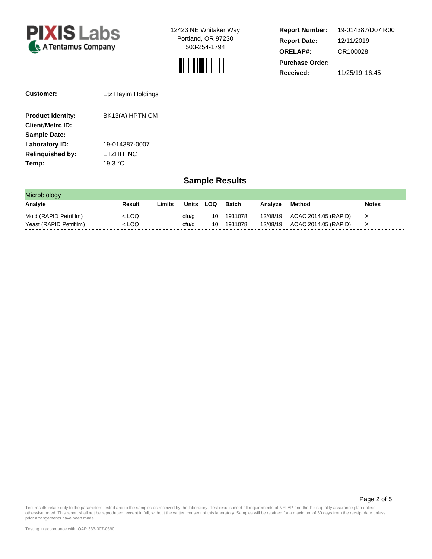



**Report Number: Report Date: ORELAP#:** 12/11/2019 OR100028 **Received:** 11/25/19 16:45 **Purchase Order:** 19-014387/D07.R00

| Customer:                | Etz Hayim Holdings |  |  |  |  |  |
|--------------------------|--------------------|--|--|--|--|--|
| <b>Product identity:</b> | BK13(A) HPTN.CM    |  |  |  |  |  |
| <b>Client/Metrc ID:</b>  | ٠                  |  |  |  |  |  |
| <b>Sample Date:</b>      |                    |  |  |  |  |  |
| Laboratory ID:           | 19-014387-0007     |  |  |  |  |  |
| <b>Relinguished by:</b>  | ETZHH INC          |  |  |  |  |  |
| Temp:                    | 19.3 °C            |  |  |  |  |  |

### **Sample Results**

| Microbiology            |        |        |       |     |            |         |                               |              |
|-------------------------|--------|--------|-------|-----|------------|---------|-------------------------------|--------------|
| Analyte                 | Result | .imits | Units | LOQ | Batch      | Analyze | Method                        | <b>Notes</b> |
| Mold (RAPID Petrifilm)  | < LOQ  |        | cfu/g |     | 10 1911078 |         | 12/08/19 AOAC 2014.05 (RAPID) |              |
| Yeast (RAPID Petrifilm) | < LOQ  |        | cfu/a | 10. | 1911078    |         | 12/08/19 AOAC 2014.05 (RAPID) |              |

Page 2 of 5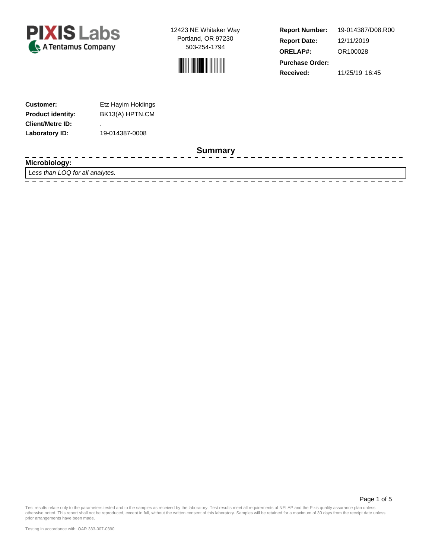



**Report Number: Report Date: ORELAP#:** 12/11/2019 OR100028 **Received:** 11/25/19 16:45 **Purchase Order:** 19-014387/D08.R00

| <b>Customer:</b>         | Etz Hayim Holdings |
|--------------------------|--------------------|
| <b>Product identity:</b> | BK13(A) HPTN.CM    |
| <b>Client/Metrc ID:</b>  | ٠                  |
| Laboratory ID:           | 19-014387-0008     |

#### **Summary**

- - - - $\frac{1}{2} \frac{1}{2} \frac{1}{2} \frac{1}{2} \frac{1}{2} \frac{1}{2} \frac{1}{2} \frac{1}{2} \frac{1}{2} \frac{1}{2} \frac{1}{2} \frac{1}{2} \frac{1}{2} \frac{1}{2} \frac{1}{2} \frac{1}{2} \frac{1}{2} \frac{1}{2} \frac{1}{2} \frac{1}{2} \frac{1}{2} \frac{1}{2} \frac{1}{2} \frac{1}{2} \frac{1}{2} \frac{1}{2} \frac{1}{2} \frac{1}{2} \frac{1}{2} \frac{1}{2} \frac{1}{2} \frac{$ -------------**Microbiology:** Less than LOQ for all analytes.